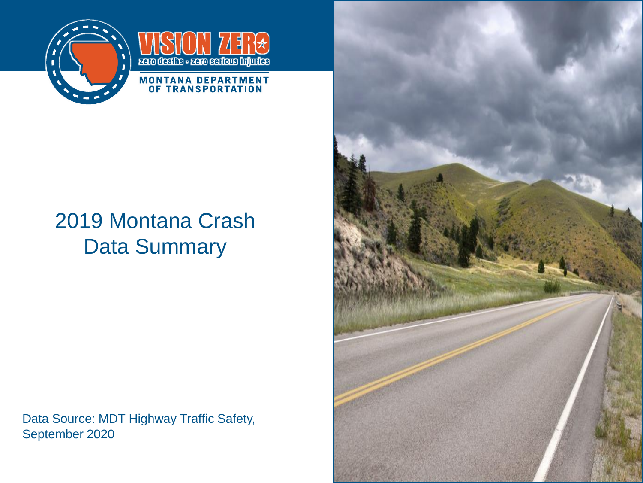

#### 2019 Montana Crash Data Summary

Data Source: MDT Highway Traffic Safety, September 2020

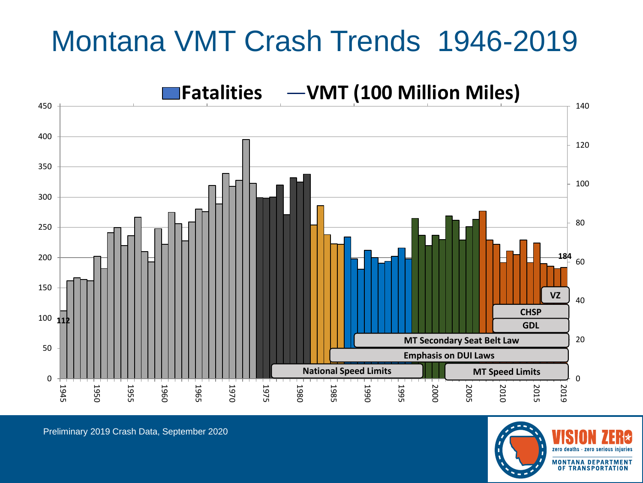## Montana VMT Crash Trends 1946-2019



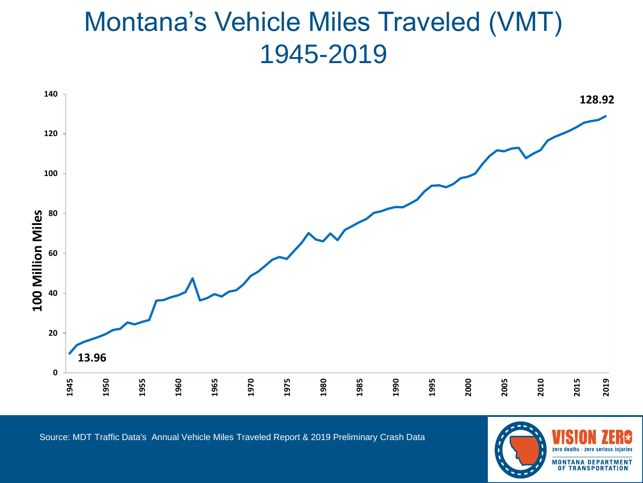### Montana's Vehicle Miles Traveled (VMT) 1945-2019



Source: MDT Traffic Data's Annual Vehicle Miles Traveled Report & 2019 Preliminary Crash Data

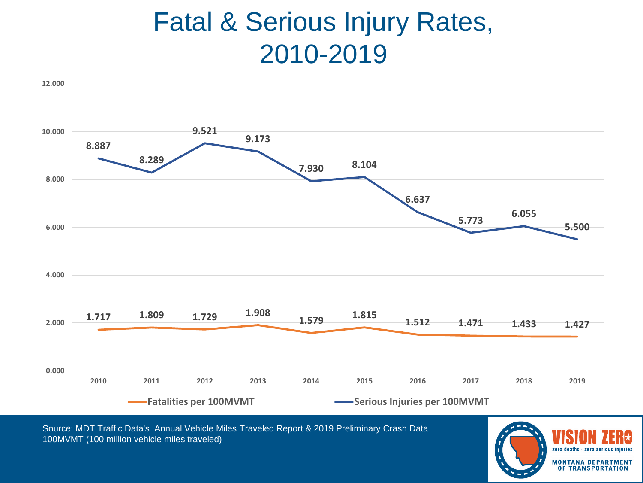### Fatal & Serious Injury Rates, 2010-2019



Source: MDT Traffic Data's Annual Vehicle Miles Traveled Report & 2019 Preliminary Crash Data 100MVMT (100 million vehicle miles traveled)

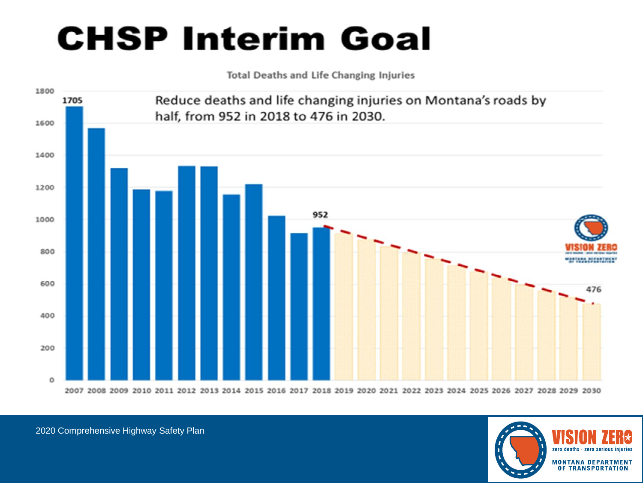# **CHSP Interim Goal**

Total Deaths and Life Changing Injuries





2020 Comprehensive Highway Safety Plan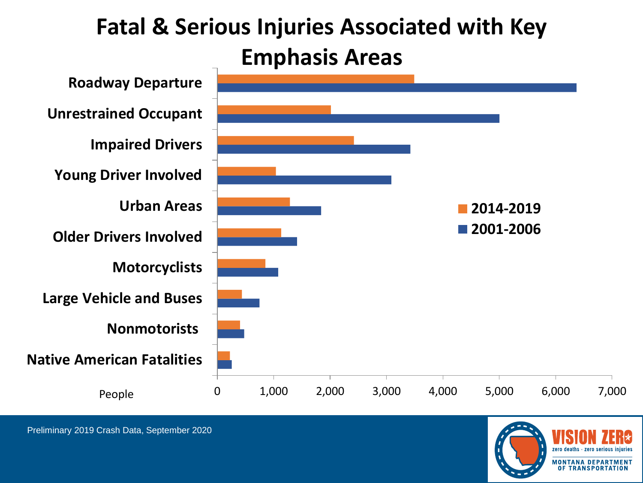

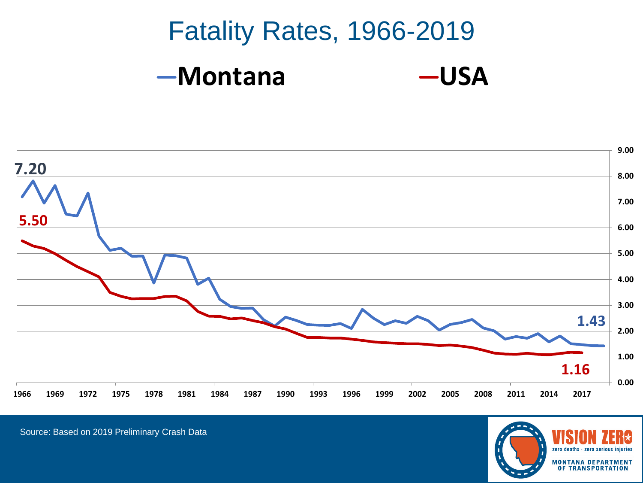# Fatality Rates, 1966-2019 **Montana USA**





Source: Based on 2019 Preliminary Crash Data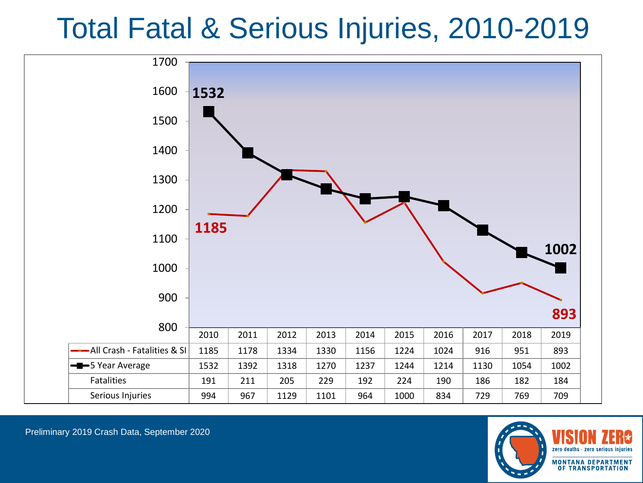### Total Fatal & Serious Injuries, 2010-2019



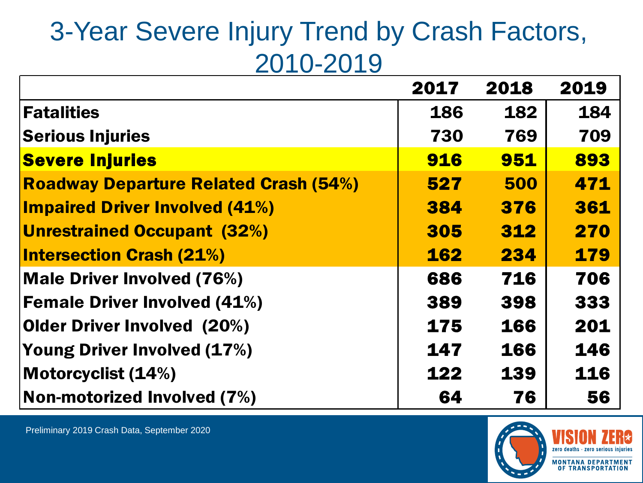### 3-Year Severe Injury Trend by Crash Factors, 2010-2019

|                                              | 2017 | 2018                  | 2019       |
|----------------------------------------------|------|-----------------------|------------|
| <b>Fatalities</b>                            | 186  | 182                   | 184        |
| <b>Serious Injuries</b>                      | 730  | 769                   | 709        |
| <b>Severe Injuries</b>                       | 916  | 951                   | 893        |
| <b>Roadway Departure Related Crash (54%)</b> | 527  | 500                   | 471        |
| <b>Impaired Driver Involved (41%)</b>        | 384  | 376                   | 361        |
| <b>Unrestrained Occupant (32%)</b>           | 305  | 312                   | 270        |
| <b>Intersection Crash (21%)</b>              | 162  | 234                   | <b>179</b> |
| <b>Male Driver Involved (76%)</b>            | 686  | 716                   | 706        |
| <b>Female Driver Involved (41%)</b>          | 389  | 398                   | 333        |
| <b>Older Driver Involved (20%)</b>           | 175  | 166                   | 201        |
| <b>Young Driver Involved (17%)</b>           | 147  | 166                   | 146        |
| <b>Motorcyclist (14%)</b>                    | 122  | 139                   | 116        |
| <b>Non-motorized Involved (7%)</b>           | 64   | 76                    | 56         |
|                                              |      | $\sim$ $ \sim$ $\sim$ |            |

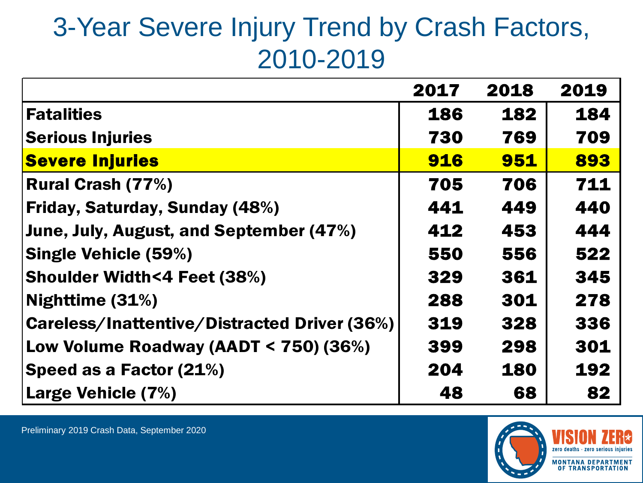### 3-Year Severe Injury Trend by Crash Factors, 2010-2019

|                                                     | 2017 | 2018 | 2019 |
|-----------------------------------------------------|------|------|------|
| <b>Fatalities</b>                                   | 186  | 182  | 184  |
| <b>Serious Injuries</b>                             | 730  | 769  | 709  |
| <b>Severe Injuries</b>                              | 916  | 951  | 893  |
| <b>Rural Crash (77%)</b>                            | 705  | 706  | 711  |
| Friday, Saturday, Sunday (48%)                      | 441  | 449  | 440  |
| June, July, August, and September (47%)             | 412  | 453  | 444  |
| <b>Single Vehicle (59%)</b>                         | 550  | 556  | 522  |
| <b>Shoulder Width&lt;4 Feet (38%)</b>               | 329  | 361  | 345  |
| Nighttime (31%)                                     | 288  | 301  | 278  |
| <b>Careless/Inattentive/Distracted Driver (36%)</b> | 319  | 328  | 336  |
| Low Volume Roadway (AADT < 750) (36%)               | 399  | 298  | 301  |
| Speed as a Factor (21%)                             | 204  | 180  | 192  |
| <b>Large Vehicle (7%)</b>                           | 48   | 68   | 82   |
|                                                     |      |      |      |

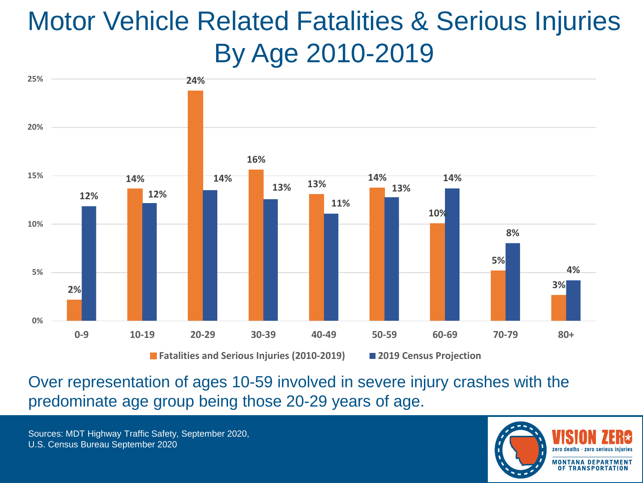### Motor Vehicle Related Fatalities & Serious Injuries By Age 2010-2019



Over representation of ages 10-59 involved in severe injury crashes with the predominate age group being those 20-29 years of age.

Sources: MDT Highway Traffic Safety, September 2020, U.S. Census Bureau September 2020

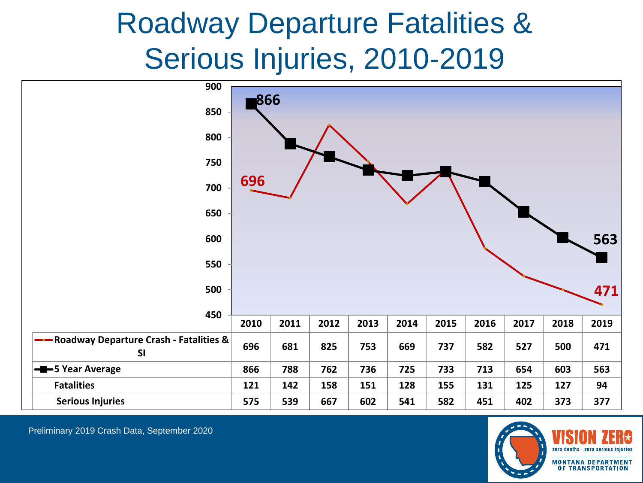## Roadway Departure Fatalities & Serious Injuries, 2010-2019



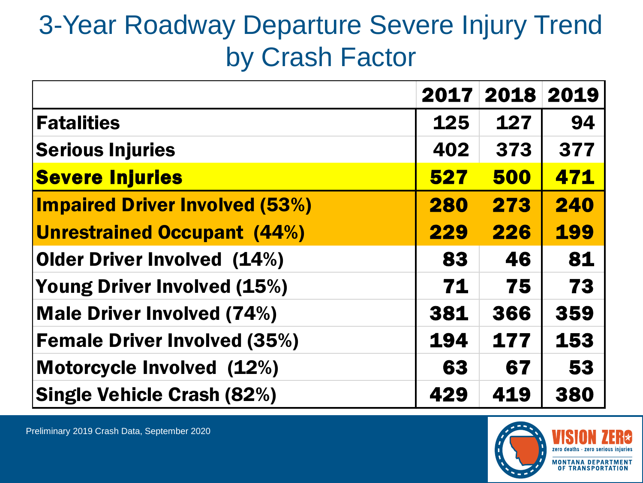## 3-Year Roadway Departure Severe Injury Trend by Crash Factor

|                                       |     | 2017 2018 2019 |     |
|---------------------------------------|-----|----------------|-----|
| <b>Fatalities</b>                     | 125 | 127            | 94  |
| <b>Serious Injuries</b>               | 402 | 373            | 377 |
| <b>Severe Injuries</b>                | 527 | 500            | 471 |
| <b>Impaired Driver Involved (53%)</b> | 280 | 273            | 240 |
| <b>Unrestrained Occupant (44%)</b>    | 229 | 226            | 199 |
| <b>Older Driver Involved (14%)</b>    | 83  | 46             | 81  |
| <b>Young Driver Involved (15%)</b>    | 71  | 75             | 73  |
| <b>Male Driver Involved (74%)</b>     | 381 | 366            | 359 |
| <b>Female Driver Involved (35%)</b>   | 194 | 177            | 153 |
| Motorcycle Involved (12%)             | 63  | 67             | 53  |
| <b>Single Vehicle Crash (82%)</b>     | 429 | 419            | 380 |

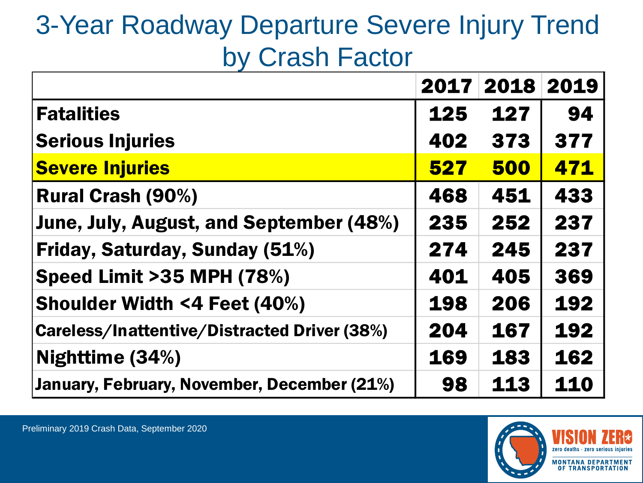## 3-Year Roadway Departure Severe Injury Trend by Crash Factor

| 3-Year Roadway Departure Severe Injury Trend<br>by Crash Factor |      |      |      |
|-----------------------------------------------------------------|------|------|------|
|                                                                 | 2017 | 2018 | 2019 |
| <b>Fatalities</b>                                               | 125  | 127  | 94   |
| <b>Serious Injuries</b>                                         | 402  | 373  | 377  |
| <b>Severe Injuries</b>                                          | 527  | 500  | 471  |
| <b>Rural Crash (90%)</b>                                        | 468  | 451  | 433  |
| June, July, August, and September (48%)                         | 235  | 252  | 237  |
| Friday, Saturday, Sunday (51%)                                  | 274  | 245  | 237  |
| <b>Speed Limit &gt;35 MPH (78%)</b>                             | 401  | 405  | 369  |
| <b>Shoulder Width &lt;4 Feet (40%)</b>                          | 198  | 206  | 192  |
| <b>Careless/Inattentive/Distracted Driver (38%)</b>             | 204  | 167  | 192  |
| Nighttime (34%)                                                 | 169  | 183  | 162  |
| January, February, November, December (21%)                     | 98   | 113  | 110  |

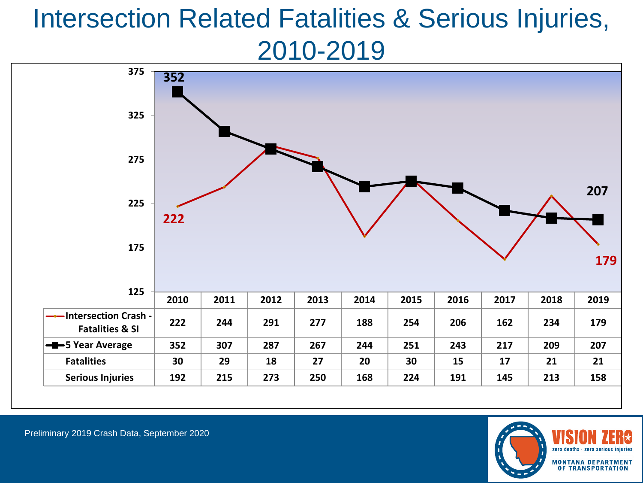### Intersection Related Fatalities & Serious Injuries, 2010-2019





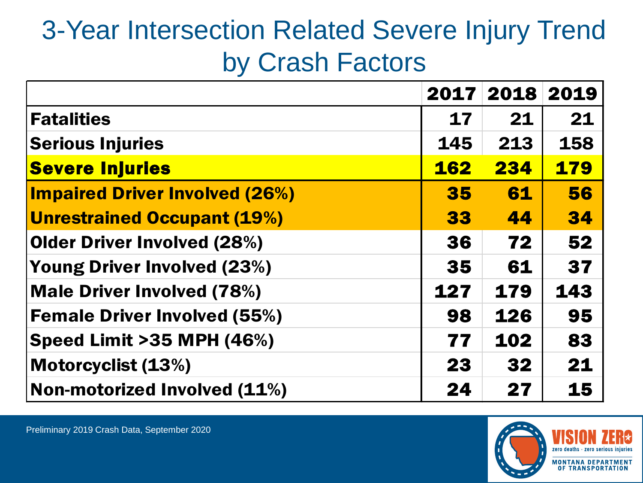### 3-Year Intersection Related Severe Injury Trend by Crash Factors

|                                       | 2017       | 2018 | 2019 |
|---------------------------------------|------------|------|------|
| <b>Fatalities</b>                     | 17         | 21   | 21   |
| <b>Serious Injuries</b>               | 145        | 213  | 158  |
| <b>Severe Injuries</b>                | <b>162</b> | 234  | 179  |
| <b>Impaired Driver Involved (26%)</b> | 35         | 61   | 56   |
| <b>Unrestrained Occupant (19%)</b>    | 33         | 44   | 34   |
| <b>Older Driver Involved (28%)</b>    | 36         | 72   | 52   |
| <b>Young Driver Involved (23%)</b>    | 35         | 61   | 37   |
| <b>Male Driver Involved (78%)</b>     | 127        | 179  | 143  |
| <b>Female Driver Involved (55%)</b>   | 98         | 126  | 95   |
| <b>Speed Limit &gt;35 MPH (46%)</b>   | 77         | 102  | 83   |
| Motorcyclist (13%)                    | 23         | 32   | 21   |
| <b>Non-motorized Involved (11%)</b>   | 24         | 27   | 15   |
|                                       |            |      |      |

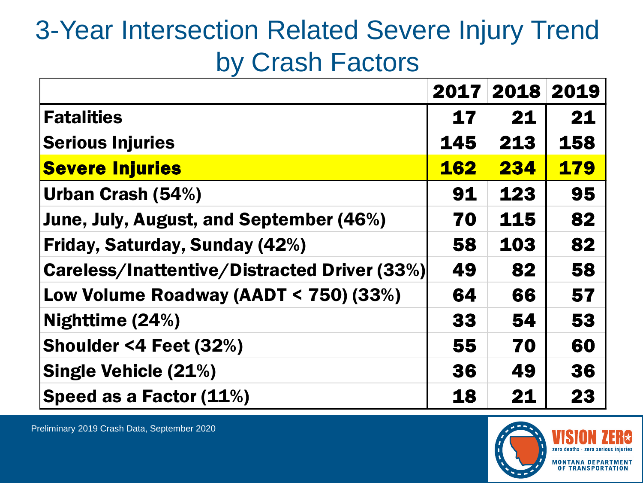## 3-Year Intersection Related Severe Injury Trend by Crash Factors

| 3-Year Intersection Related Severe Injury Trend<br>by Crash Factors                                                                                                                                                                                                                                                                |            |                               |            |
|------------------------------------------------------------------------------------------------------------------------------------------------------------------------------------------------------------------------------------------------------------------------------------------------------------------------------------|------------|-------------------------------|------------|
|                                                                                                                                                                                                                                                                                                                                    | 2017       | 2018                          | 2019       |
| <b>Fatalities</b>                                                                                                                                                                                                                                                                                                                  | 17         | 21                            | 21         |
| <b>Serious Injuries</b>                                                                                                                                                                                                                                                                                                            | 145        | 213                           | 158        |
| <b>Severe Injuries</b>                                                                                                                                                                                                                                                                                                             | <b>162</b> | 234                           | <b>179</b> |
| Urban Crash (54%)                                                                                                                                                                                                                                                                                                                  | 91         | 123                           | 95         |
| June, July, August, and September (46%)                                                                                                                                                                                                                                                                                            | 70         | 115                           | 82         |
| Friday, Saturday, Sunday (42%)                                                                                                                                                                                                                                                                                                     | 58         | 103                           | 82         |
| <b>Careless/Inattentive/Distracted Driver (33%)</b>                                                                                                                                                                                                                                                                                | 49         | 82                            | 58         |
| Low Volume Roadway (AADT < 750) (33%)                                                                                                                                                                                                                                                                                              | 64         | 66                            | 57         |
| Nighttime (24%)                                                                                                                                                                                                                                                                                                                    | 33         | 54                            | 53         |
| <b>Shoulder &lt;4 Feet (32%)</b>                                                                                                                                                                                                                                                                                                   | 55         | 70                            | 60         |
| <b>Single Vehicle (21%)</b>                                                                                                                                                                                                                                                                                                        | 36         | 49                            | 36         |
| Speed as a Factor (11%)                                                                                                                                                                                                                                                                                                            | 18         | 21                            | 23         |
| $\mathbb{R}$ $\mathbb{R}$ $\mathbb{R}$ $\mathbb{R}$ $\mathbb{R}$ $\mathbb{R}$ $\mathbb{R}$ $\mathbb{R}$ $\mathbb{R}$ $\mathbb{R}$ $\mathbb{R}$ $\mathbb{R}$ $\mathbb{R}$ $\mathbb{R}$ $\mathbb{R}$ $\mathbb{R}$ $\mathbb{R}$ $\mathbb{R}$ $\mathbb{R}$ $\mathbb{R}$ $\mathbb{R}$ $\mathbb{R}$ $\mathbb{R}$ $\mathbb{R}$ $\mathbb{$ |            | <b>The Contract of Street</b> |            |

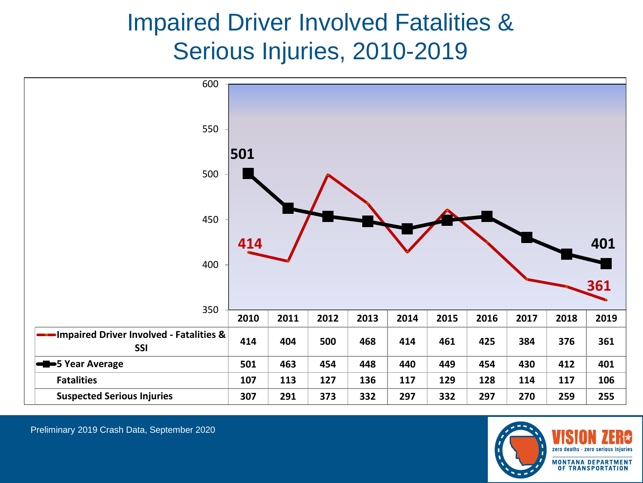### Impaired Driver Involved Fatalities & Serious Injuries, 2010-2019



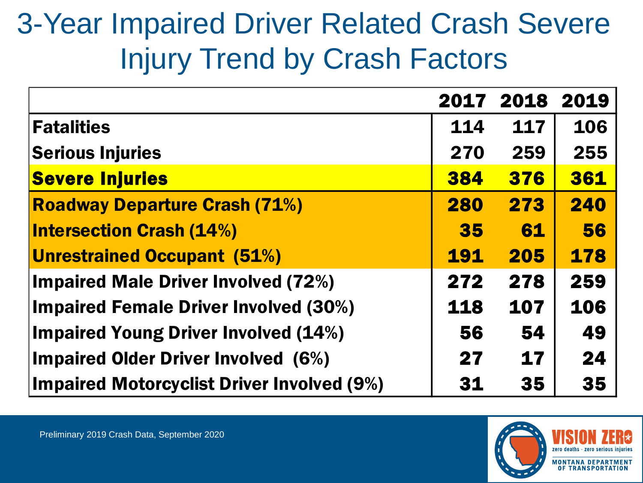## 3-Year Impaired Driver Related Crash Severe Injury Trend by Crash Factors

|                                                   | 2017       | 2018 | 2019 |
|---------------------------------------------------|------------|------|------|
| <b>Fatalities</b>                                 | 114        | 117  | 106  |
| <b>Serious Injuries</b>                           | 270        | 259  | 255  |
| <b>Severe Injuries</b>                            | <b>384</b> | 376  | 361  |
| <b>Roadway Departure Crash (71%)</b>              | 280        | 273  | 240  |
| <b>Intersection Crash (14%)</b>                   | 35         | 61   | 56   |
| <b>Unrestrained Occupant (51%)</b>                | <b>191</b> | 205  | 178  |
| <b>Impaired Male Driver Involved (72%)</b>        | 272        | 278  | 259  |
| <b>Impaired Female Driver Involved (30%)</b>      | 118        | 107  | 106  |
| <b>Impaired Young Driver Involved (14%)</b>       | 56         | 54   | 49   |
| <b>Impaired Older Driver Involved (6%)</b>        | 27         | 17   | 24   |
| <b>Impaired Motorcyclist Driver Involved (9%)</b> | 31         | 35   | 35   |
|                                                   |            |      |      |

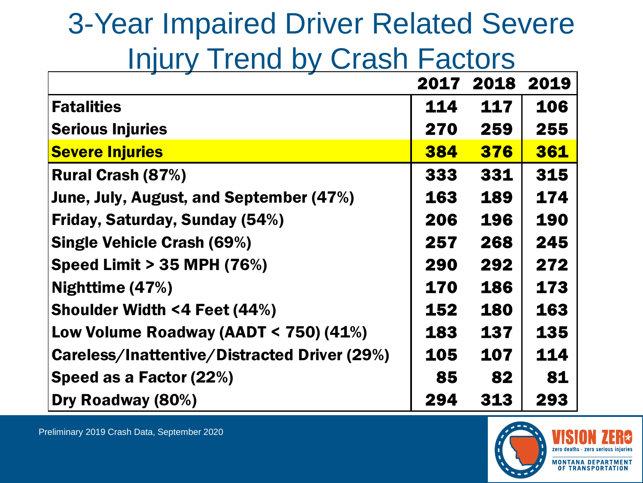# 3-Year Impaired Driver Related Severe Injury Trend by Crash Factors

|                                                     | 2017       | 2018 | 2019 |
|-----------------------------------------------------|------------|------|------|
| <b>Fatalities</b>                                   | 114        | 117  | 106  |
| <b>Serious Injuries</b>                             | 270        | 259  | 255  |
| <b>Severe Injuries</b>                              | <b>384</b> | 376  | 361  |
| <b>Rural Crash (87%)</b>                            | 333        | 331  | 315  |
| June, July, August, and September (47%)             | 163        | 189  | 174  |
| Friday, Saturday, Sunday (54%)                      | 206        | 196  | 190  |
| <b>Single Vehicle Crash (69%)</b>                   | 257        | 268  | 245  |
| <b>Speed Limit &gt; 35 MPH (76%)</b>                | 290        | 292  | 272  |
| Nighttime (47%)                                     | 170        | 186  | 173  |
| <b>Shoulder Width &lt;4 Feet (44%)</b>              | 152        | 180  | 163  |
| Low Volume Roadway (AADT < 750) $(41%)$             | 183        | 137  | 135  |
| <b>Careless/Inattentive/Distracted Driver (29%)</b> | 105        | 107  | 114  |
| Speed as a Factor (22%)                             | 85         | 82   | 81   |
| Dry Roadway (80%)                                   | 294        | 313  | 293  |

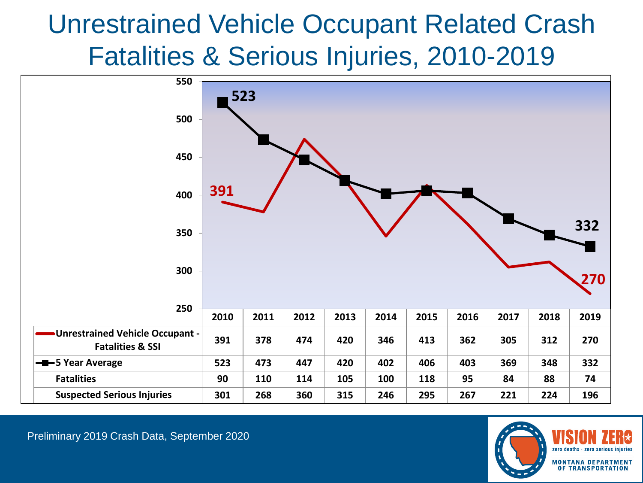### Unrestrained Vehicle Occupant Related Crash Fatalities & Serious Injuries, 2010-2019



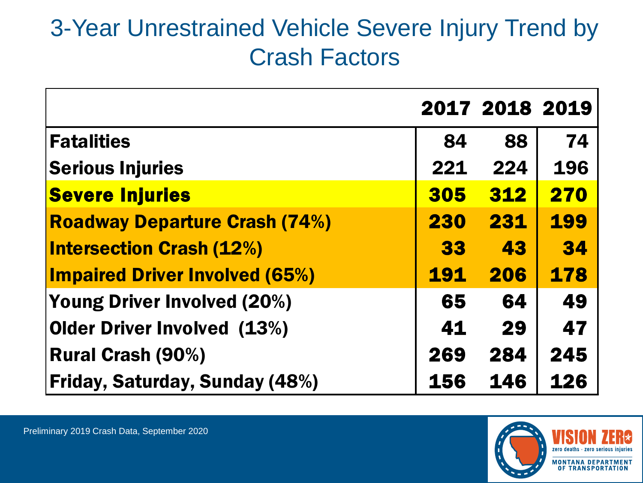### 3-Year Unrestrained Vehicle Severe Injury Trend by Crash Factors

|                                       |            | 2017 2018 2019 |            |
|---------------------------------------|------------|----------------|------------|
| <b>Fatalities</b>                     | 84         | 88             | 74         |
| <b>Serious Injuries</b>               | 221        | 224            | 196        |
| <b>Severe Injuries</b>                | 305        | 312            | 270        |
| <b>Roadway Departure Crash (74%)</b>  | 230        | 231            | <b>199</b> |
| <b>Intersection Crash (12%)</b>       | 33         | 43             | 34         |
| <b>Impaired Driver Involved (65%)</b> | <b>191</b> | 206            | 178        |
| <b>Young Driver Involved (20%)</b>    | 65         | 64             | 49         |
| <b>Older Driver Involved (13%)</b>    | 41         | 29             | 47         |
| <b>Rural Crash (90%)</b>              | 269        | 284            | 245        |
| Friday, Saturday, Sunday (48%)        | 156        | 146            | 126        |



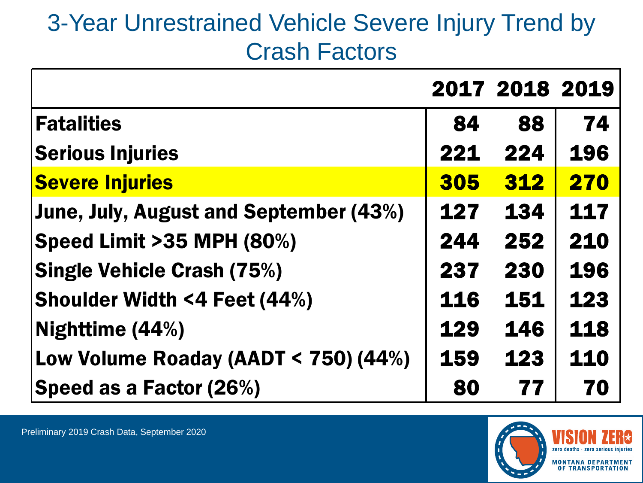# Crash Factors

| 3-Year Unrestrained Vehicle Severe Injury Trend by<br><b>Crash Factors</b> |     |                |     |
|----------------------------------------------------------------------------|-----|----------------|-----|
|                                                                            |     | 2017 2018 2019 |     |
| <b>Fatalities</b>                                                          | 84  | 88             | 74  |
| <b>Serious Injuries</b>                                                    | 221 | 224            | 196 |
| <b>Severe Injuries</b>                                                     | 305 | <b>312</b>     | 270 |
| <b>June, July, August and September (43%)</b>                              | 127 | 134            | 117 |
| <b>Speed Limit &gt;35 MPH (80%)</b>                                        | 244 | 252            | 210 |
| <b>Single Vehicle Crash (75%)</b>                                          | 237 | 230            | 196 |
| <b>Shoulder Width &lt;4 Feet (44%)</b>                                     | 116 | 151            | 123 |
| Nighttime (44%)                                                            | 129 | 146            | 118 |
| Low Volume Roaday (AADT < 750) (44%)                                       | 159 | 123            | 110 |
| Speed as a Factor (26%)                                                    | 80  | 77             | 70  |
|                                                                            |     |                |     |



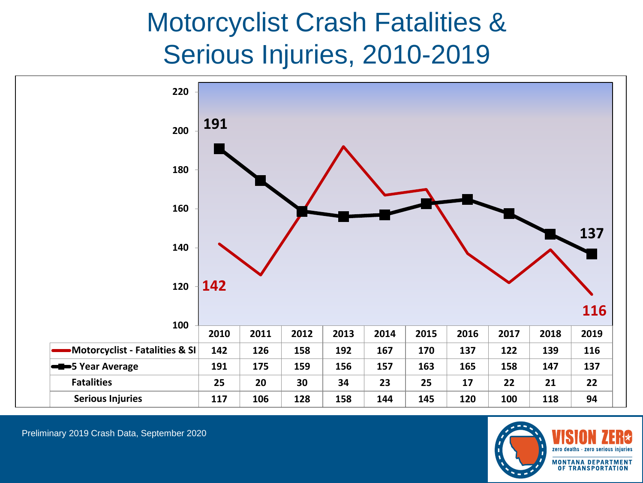### Motorcyclist Crash Fatalities & Serious Injuries, 2010-2019



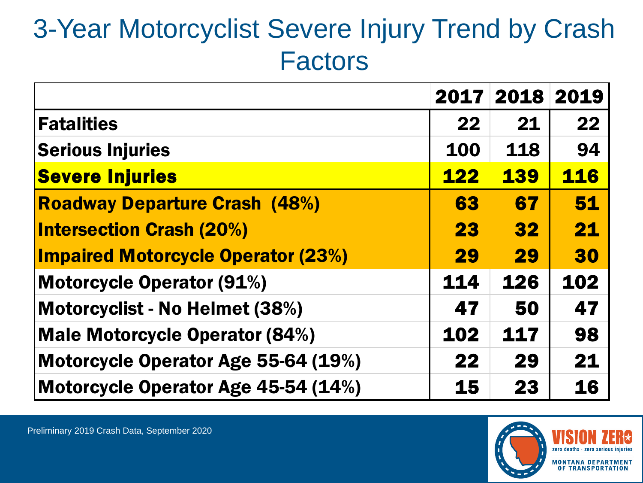### 3-Year Motorcyclist Severe Injury Trend by Crash Factors

|                                           | 2017       | 2018       | 2019       |
|-------------------------------------------|------------|------------|------------|
| <b>Fatalities</b>                         | 22         | 21         | 22         |
| <b>Serious Injuries</b>                   | 100        | 118        | 94         |
| <b>Severe Injuries</b>                    | <b>122</b> | <b>139</b> | <b>116</b> |
| <b>Roadway Departure Crash (48%)</b>      | 63         | 67         | 51         |
| <b>Intersection Crash (20%)</b>           | 23         | 32         | 21         |
| <b>Impaired Motorcycle Operator (23%)</b> | 29         | 29         | 30         |
| <b>Motorcycle Operator (91%)</b>          | 114        | 126        | 102        |
| Motorcyclist - No Helmet (38%)            | 47         | 50         | 47         |
| <b>Male Motorcycle Operator (84%)</b>     | 102        | 117        | 98         |
| Motorcycle Operator Age 55-64 (19%)       | 22         | 29         | 21         |
| Motorcycle Operator Age 45-54 (14%)       | 15         | 23         | 16         |
|                                           |            |            |            |

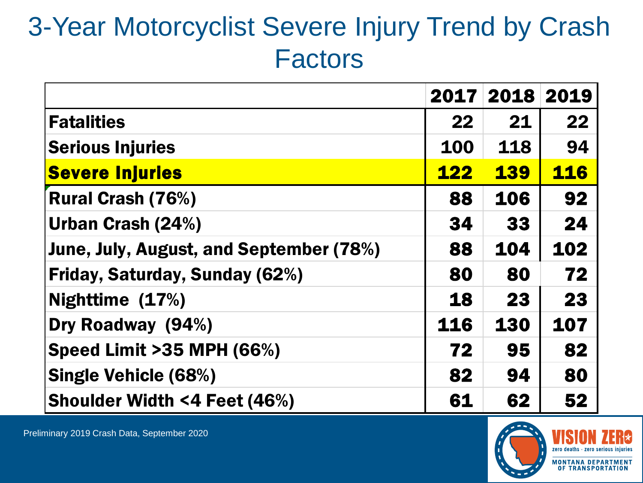## 3-Year Motorcyclist Severe Injury Trend by Crash Factors

|                                         | 2017       | 2018           | 2019       |
|-----------------------------------------|------------|----------------|------------|
| <b>Fatalities</b>                       | 22         | 21             | 22         |
| <b>Serious Injuries</b>                 | 100        | 118            | 94         |
| <b>Severe Injuries</b>                  | <b>122</b> | <b>139</b>     | <b>116</b> |
| <b>Rural Crash (76%)</b>                | 88         | 106            | 92         |
| Urban Crash (24%)                       | 34         | 33             | 24         |
| June, July, August, and September (78%) | 88         | 104            | 102        |
| Friday, Saturday, Sunday (62%)          | 80         | 80             | 72         |
| Nighttime (17%)                         | 18         | 23             | 23         |
| Dry Roadway (94%)                       | 116        | 130            | 107        |
| <b>Speed Limit &gt;35 MPH (66%)</b>     | 72         | 95             | 82         |
| Single Vehicle (68%)                    | 82         | 94             | 80         |
| <b>Shoulder Width &lt;4 Feet (46%)</b>  | 61         | 62             | 52         |
|                                         |            | $\overline{1}$ |            |

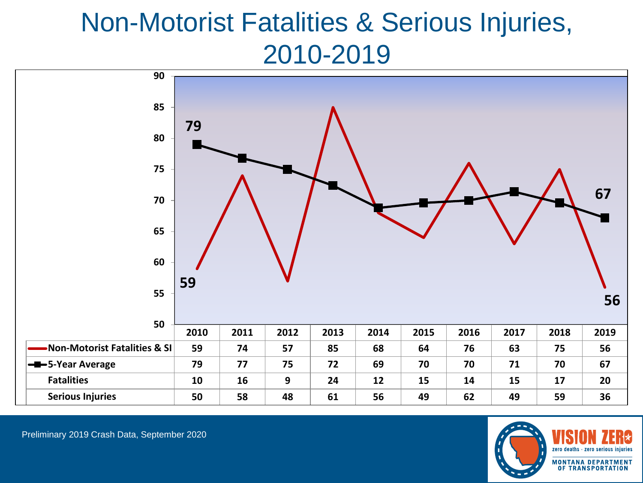### Non-Motorist Fatalities & Serious Injuries, 2010-2019



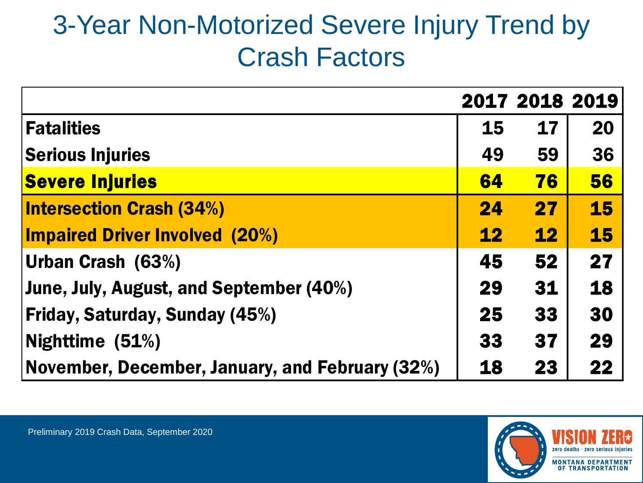### 3-Year Non-Motorized Severe Injury Trend by Crash Factors

|                                                 |    | 2017 2018 2019 |           |
|-------------------------------------------------|----|----------------|-----------|
| <b>Fatalities</b>                               | 15 | 17             | 20        |
| <b>Serious Injuries</b>                         | 49 | 59             | 36        |
| <b>Severe Injuries</b>                          | 64 | 76             | 56        |
| <b>Intersection Crash (34%)</b>                 | 24 | 27             | <b>15</b> |
| <b>Impaired Driver Involved (20%)</b>           | 12 | <b>12</b>      | <b>15</b> |
| Urban Crash (63%)                               | 45 | 52             | 27        |
| June, July, August, and September (40%)         | 29 | 31             | 18        |
| Friday, Saturday, Sunday (45%)                  | 25 | 33             | 30        |
| Nighttime (51%)                                 | 33 | 37             | 29        |
| November, December, January, and February (32%) | 18 | 23             | 22        |

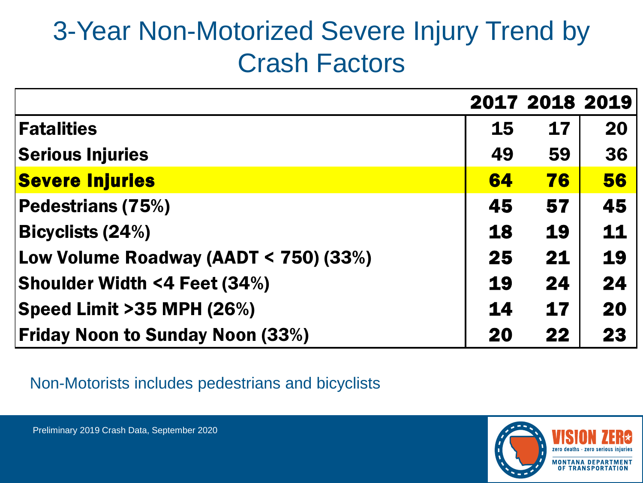### 3-Year Non-Motorized Severe Injury Trend by Crash Factors

|                                         |    | 2017 2018 2019 |    |
|-----------------------------------------|----|----------------|----|
| <b>Fatalities</b>                       | 15 | 17             | 20 |
| <b>Serious Injuries</b>                 | 49 | 59             | 36 |
| <b>Severe Injuries</b>                  | 64 | 76             | 56 |
| Pedestrians (75%)                       | 45 | 57             | 45 |
| <b>Bicyclists (24%)</b>                 | 18 | 19             | 11 |
| Low Volume Roadway (AADT < 750) (33%)   | 25 | 21             | 19 |
| <b>Shoulder Width &lt;4 Feet (34%)</b>  | 19 | 24             | 24 |
| Speed Limit >35 MPH (26%)               | 14 | 17             | 20 |
| <b>Friday Noon to Sunday Noon (33%)</b> | 20 | 22             | 23 |

Non-Motorists includes pedestrians and bicyclists

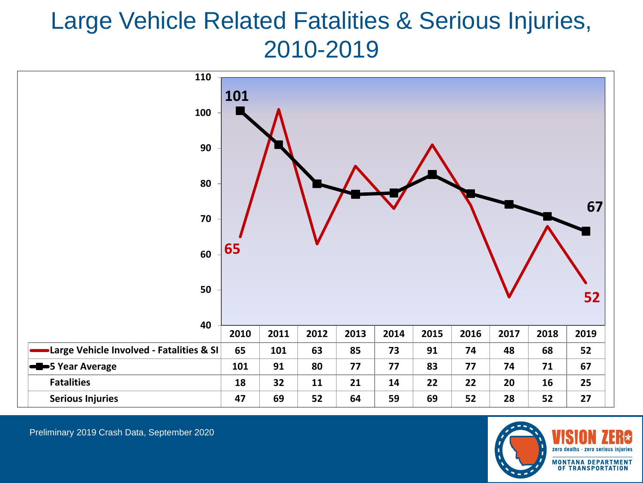### Large Vehicle Related Fatalities & Serious Injuries, 2010-2019



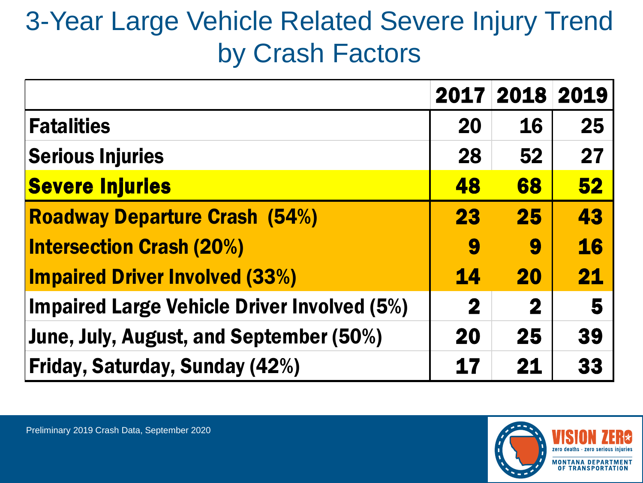### 3-Year Large Vehicle Related Severe Injury Trend by Crash Factors

|                                                    |             | 2017 2018 2019 |           |
|----------------------------------------------------|-------------|----------------|-----------|
| <b>Fatalities</b>                                  | 20          | 16             | 25        |
| <b>Serious Injuries</b>                            | 28          | 52             | 27        |
| <b>Severe Injuries</b>                             | 48          | 68             | <b>52</b> |
| <b>Roadway Departure Crash (54%)</b>               | 23          | 25             | 43        |
| <b>Intersection Crash (20%)</b>                    | 9           | 9              | <b>16</b> |
| <b>Impaired Driver Involved (33%)</b>              | <u>14</u>   | 20             | 21        |
| <b>Impaired Large Vehicle Driver Involved (5%)</b> | $\mathbf 2$ | $\mathbf 2$    | 5         |
| June, July, August, and September (50%)            | 20          | 25             | 39        |
| <b>Friday, Saturday, Sunday (42%)</b>              | 17          | 21             | 33        |



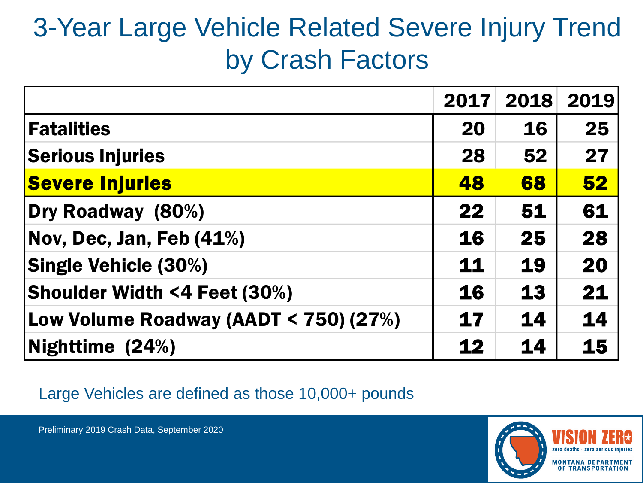### 3-Year Large Vehicle Related Severe Injury Trend by Crash Factors

|                                        | 2017 | 2018 | 2019 |
|----------------------------------------|------|------|------|
| <b>Fatalities</b>                      | 20   | 16   | 25   |
| <b>Serious Injuries</b>                | 28   | 52   | 27   |
| <b>Severe Injuries</b>                 | 48   | 68   | 52   |
| Dry Roadway (80%)                      | 22   | 51   | 61   |
| Nov, Dec, Jan, Feb (41%)               | 16   | 25   | 28   |
| <b>Single Vehicle (30%)</b>            | 11   | 19   | 20   |
| <b>Shoulder Width &lt;4 Feet (30%)</b> | 16   | 13   | 21   |
| Low Volume Roadway (AADT < 750) (27%)  | 17   | 14   | 14   |
| Nighttime (24%)                        | 12   | 14   | 15   |

Large Vehicles are defined as those 10,000+ pounds

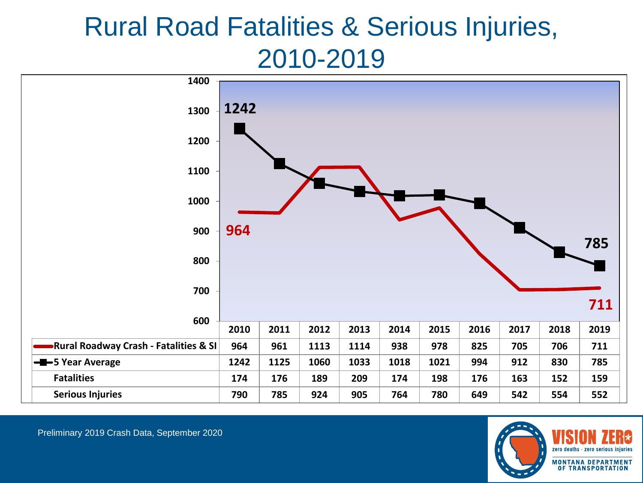### Rural Road Fatalities & Serious Injuries, 2010-2019



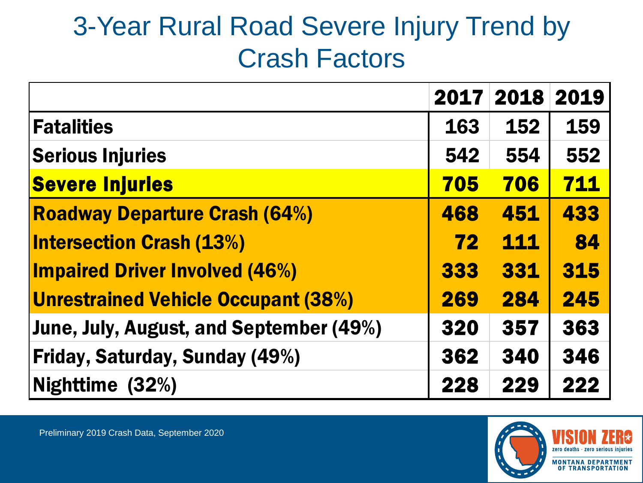### 3-Year Rural Road Severe Injury Trend by Crash Factors

|                                            | 2017 | 2018       | 2019 |
|--------------------------------------------|------|------------|------|
| <b>Fatalities</b>                          | 163  | 152        | 159  |
| <b>Serious Injuries</b>                    | 542  | 554        | 552  |
| <b>Severe Injuries</b>                     | 705  | 706        | 711  |
| <b>Roadway Departure Crash (64%)</b>       | 468  | 451        | 433  |
| <b>Intersection Crash (13%)</b>            | 72   | <b>111</b> | 84   |
| <b>Impaired Driver Involved (46%)</b>      | 333  | 331        | 315  |
| <b>Unrestrained Vehicle Occupant (38%)</b> | 269  | 284        | 245  |
| June, July, August, and September (49%)    | 320  | 357        | 363  |
| Friday, Saturday, Sunday (49%)             | 362  | 340        | 346  |
| Nighttime (32%)                            | 228  | 229        | 222  |

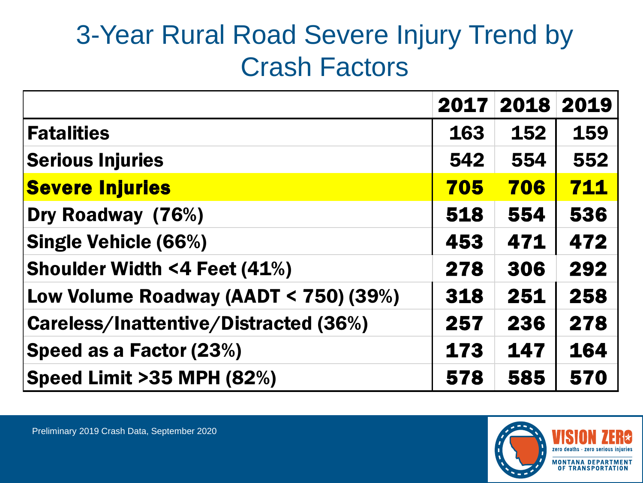### 3-Year Rural Road Severe Injury Trend by Crash Factors

|                                        |     | 2017 2018 2019 |     |
|----------------------------------------|-----|----------------|-----|
| <b>Fatalities</b>                      | 163 | 152            | 159 |
| <b>Serious Injuries</b>                | 542 | 554            | 552 |
| <b>Severe Injuries</b>                 | 705 | 706            | 711 |
| Dry Roadway (76%)                      | 518 | 554            | 536 |
| <b>Single Vehicle (66%)</b>            | 453 | 471            | 472 |
| <b>Shoulder Width &lt;4 Feet (41%)</b> | 278 | 306            | 292 |
| Low Volume Roadway (AADT < 750) (39%)  | 318 | 251            | 258 |
| Careless/Inattentive/Distracted (36%)  | 257 | 236            | 278 |
| Speed as a Factor $(23%)$              | 173 | 147            | 164 |
| Speed Limit >35 MPH (82%)              | 578 | 585            | 570 |

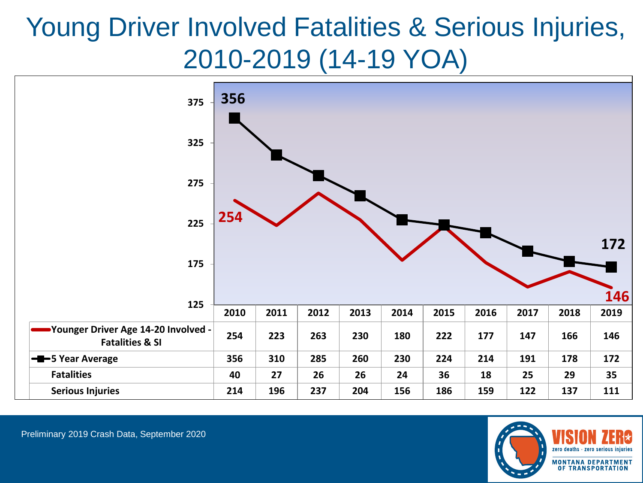### Young Driver Involved Fatalities & Serious Injuries, 2010-2019 (14-19 YOA)



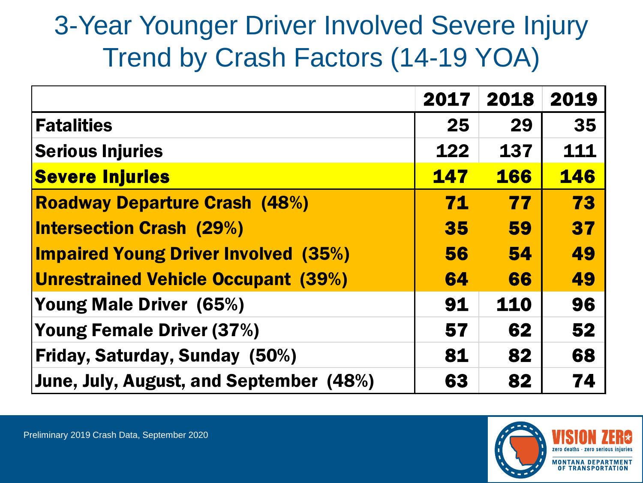### 3-Year Younger Driver Involved Severe Injury Trend by Crash Factors (14-19 YOA)

|                                             | 2017 | 2018       | 2019 |
|---------------------------------------------|------|------------|------|
| <b>Fatalities</b>                           | 25   | 29         | 35   |
| <b>Serious Injuries</b>                     | 122  | 137        | 111  |
| <b>Severe Injuries</b>                      | 147  | <b>166</b> | 146  |
| <b>Roadway Departure Crash (48%)</b>        | 71   | 77         | 73   |
| <b>Intersection Crash (29%)</b>             | 35   | 59         | 37   |
| <b>Impaired Young Driver Involved (35%)</b> | 56   | 54         | 49   |
| <b>Unrestrained Vehicle Occupant (39%)</b>  | 64   | 66         | 49   |
| Young Male Driver (65%)                     | 91   | 110        | 96   |
| <b>Young Female Driver (37%)</b>            | 57   | 62         | 52   |
| Friday, Saturday, Sunday (50%)              | 81   | 82         | 68   |
| June, July, August, and September (48%)     | 63   | 82         | 74   |

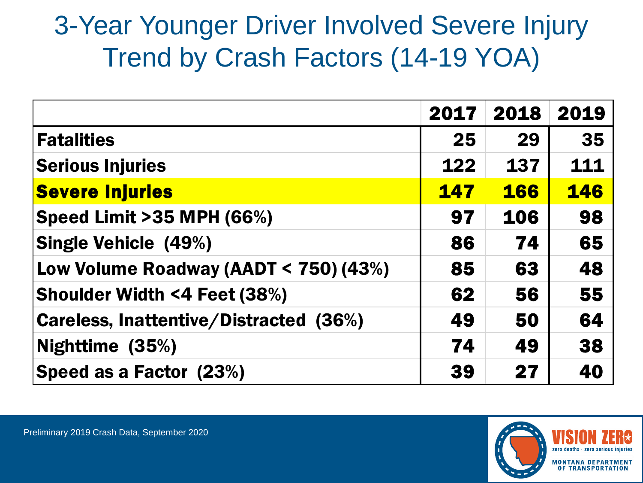### 3-Year Younger Driver Involved Severe Injury Trend by Crash Factors (14-19 YOA)

| 2017       | 2018       | 2019 |
|------------|------------|------|
| 25         | 29         | 35   |
| 122        | 137        | 111  |
| <b>147</b> | <b>166</b> | 146  |
| 97         | 106        | 98   |
| 86         | 74         | 65   |
| 85         | 63         | 48   |
| 62         | 56         | 55   |
| 49         | 50         | 64   |
| 74         | 49         | 38   |
| 39         | 27         | 40   |
|            |            |      |

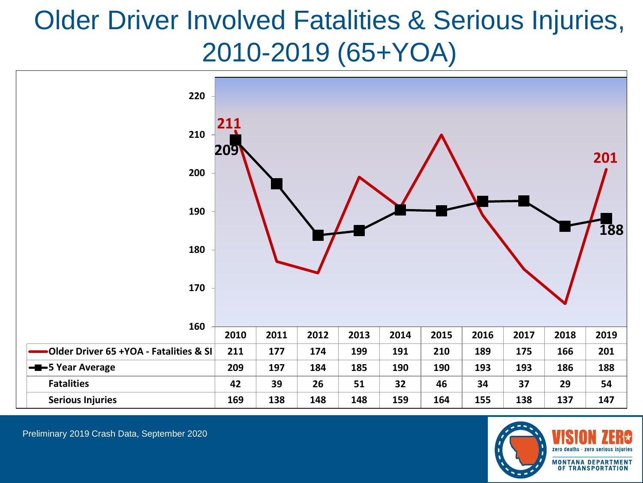### Older Driver Involved Fatalities & Serious Injuries, 2010-2019 (65+YOA)



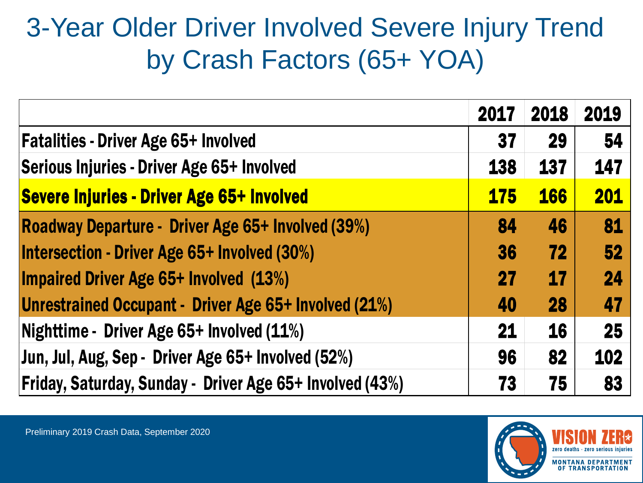# by Crash Factors (65+ YOA)

|                                                          | 2017       | 2018       | 2019 |
|----------------------------------------------------------|------------|------------|------|
| Fatalities - Driver Age 65+ Involved                     | 37         | 29         | 54   |
| Serious Injuries - Driver Age 65+ Involved               | <b>138</b> | 137        | 147  |
| Severe Injuries - Driver Age 65+ Involved                | <b>175</b> | <b>166</b> | 201  |
| Roadway Departure - Driver Age 65+ Involved (39%)        | 84         | 46         | 81   |
| <b>Intersection - Driver Age 65+ Involved (30%)</b>      | 36         | 72         | 52   |
| <b>Impaired Driver Age 65+ Involved (13%)</b>            | 27         | 17         | 24   |
| Unrestrained Occupant - Driver Age 65+ Involved (21%)    | 40         | 28         | 47   |
| Nighttime - Driver Age 65+ Involved (11%)                | 21         | 16         | 25   |
| Jun, Jul, Aug, Sep - Driver Age 65+ Involved (52%)       | 96         | 82         | 102  |
| Friday, Saturday, Sunday - Driver Age 65+ Involved (43%) | 73         | 75         | 83   |